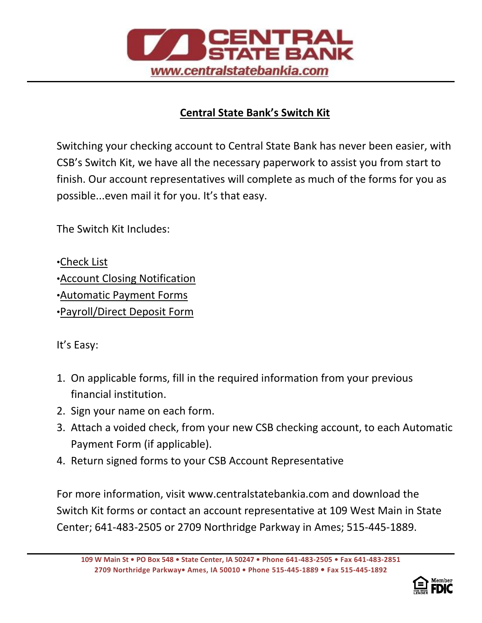

## **Central State Bank's Switch Kit**

Switching your checking account to Central State Bank has never been easier, with CSB's Switch Kit, we have all the necessary paperwork to assist you from start to finish. Our account representatives will complete as much of the forms for you as possible...even mail it for you. It's that easy.

The Switch Kit Includes:

•Check List

.

•Account Closing Notification

•Automatic Payment Forms

•Payroll/Direct Deposit Form

It's Easy:

- 1. On applicable forms, fill in the required information from your previous financial institution.
- 2. Sign your name on each form.
- 3. Attach a voided check, from your new CSB checking account, to each Automatic Payment Form (if applicable).
- 4. Return signed forms to your CSB Account Representative

For more information, visit www.centralstatebankia.com and download the Switch Kit forms or contact an account representative at 109 West Main in State Center; 641-483-2505 or 2709 Northridge Parkway in Ames; 515-445-1889.

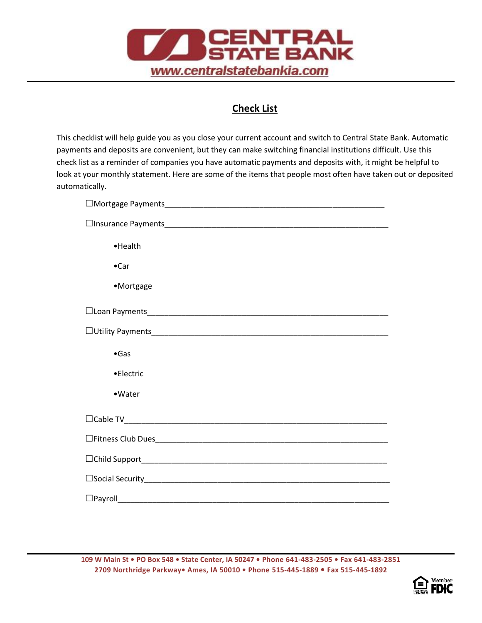

.

## **Check List**

This checklist will help guide you as you close your current account and switch to Central State Bank. Automatic payments and deposits are convenient, but they can make switching financial institutions difficult. Use this check list as a reminder of companies you have automatic payments and deposits with, it might be helpful to look at your monthly statement. Here are some of the items that people most often have taken out or deposited automatically.

| • Health      |
|---------------|
| $\bullet$ Car |
| •Mortgage     |
|               |
|               |
| $\bullet$ Gas |
| •Electric     |
| •Water        |
|               |
|               |
|               |
|               |
|               |

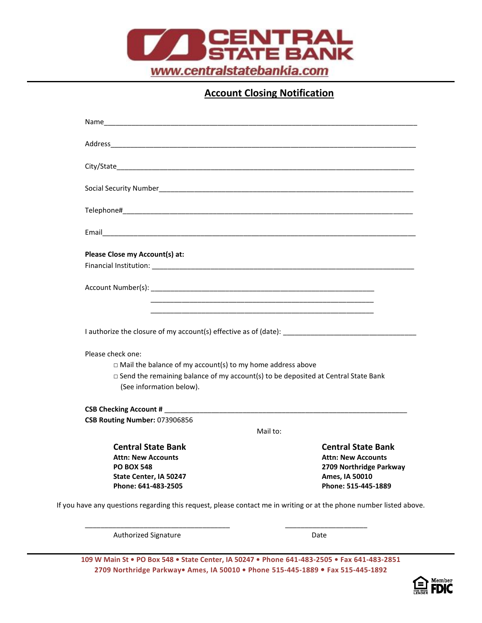

**Account Closing Notification**

| Please Close my Account(s) at:                                                                                       |                           |
|----------------------------------------------------------------------------------------------------------------------|---------------------------|
|                                                                                                                      |                           |
|                                                                                                                      |                           |
|                                                                                                                      |                           |
|                                                                                                                      |                           |
| Please check one:                                                                                                    |                           |
| $\Box$ Mail the balance of my account(s) to my home address above                                                    |                           |
| $\Box$ Send the remaining balance of my account(s) to be deposited at Central State Bank<br>(See information below). |                           |
|                                                                                                                      |                           |
|                                                                                                                      |                           |
| CSB Routing Number: 073906856                                                                                        | Mail to:                  |
| <b>Central State Bank</b>                                                                                            | <b>Central State Bank</b> |
| <b>Attn: New Accounts</b>                                                                                            | <b>Attn: New Accounts</b> |
| <b>PO BOX 548</b>                                                                                                    | 2709 Northridge Parkway   |
| State Center, IA 50247                                                                                               | Ames, IA 50010            |
| Phone: 641-483-2505                                                                                                  | Phone: 515-445-1889       |

Authorized Signature **Date** Date

.

**109 W Main St • PO Box 548 • State Center, IA 50247 • Phone 641-483-2505 • Fax 641-483-2851 2709 Northridge Parkway• Ames, IA 50010 • Phone 515-445-1889 • Fax 515-445-1892**

\_\_\_\_\_\_\_\_\_\_\_\_\_\_\_\_\_\_\_\_\_\_\_\_\_\_\_\_\_\_\_\_\_\_\_\_\_ \_\_\_\_\_\_\_\_\_\_\_\_\_\_\_\_\_\_\_\_\_

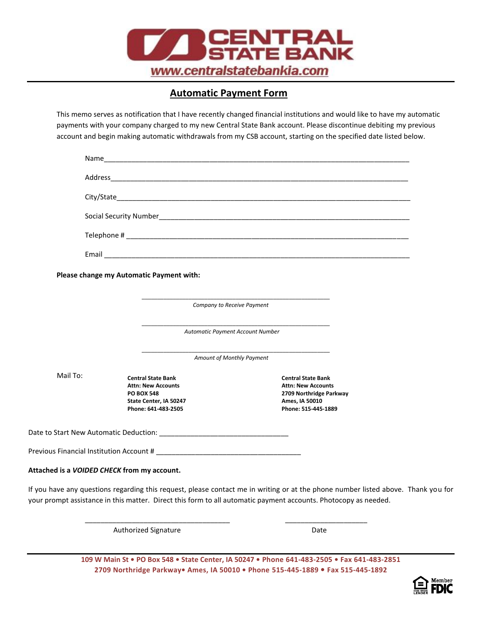

## **Automatic Payment Form**

.

This memo serves as notification that I have recently changed financial institutions and would like to have my automatic payments with your company charged to my new Central State Bank account. Please discontinue debiting my previous account and begin making automatic withdrawals from my CSB account, starting on the specified date listed below.

|          |                                             |                                                                                                                              | $\begin{minipage}[c]{0.9\linewidth} \textbf{Telephone} \# \textbf{\textit{1}} & \textbf{\textit{2}} & \textbf{\textit{3}} & \textbf{\textit{4}} & \textbf{\textit{5}} \\ \textbf{\textit{2}} & \textbf{\textit{3}} & \textbf{\textit{4}} & \textbf{\textit{5}} & \textbf{\textit{6}} & \textbf{\textit{6}} \\ \textbf{\textit{5}} & \textbf{\textit{6}} & \textbf{\textit{7}} & \textbf{\textit{8}} & \textbf{\textit{8}} & \textbf{\textit{1}} \\ \textbf{\textit{6}} & \textbf{\textit{7}} & \textbf{\text$ |                                                                                                                                   |  |
|----------|---------------------------------------------|------------------------------------------------------------------------------------------------------------------------------|---------------------------------------------------------------------------------------------------------------------------------------------------------------------------------------------------------------------------------------------------------------------------------------------------------------------------------------------------------------------------------------------------------------------------------------------------------------------------------------------------------------|-----------------------------------------------------------------------------------------------------------------------------------|--|
|          |                                             |                                                                                                                              |                                                                                                                                                                                                                                                                                                                                                                                                                                                                                                               |                                                                                                                                   |  |
|          |                                             | Please change my Automatic Payment with:                                                                                     |                                                                                                                                                                                                                                                                                                                                                                                                                                                                                                               |                                                                                                                                   |  |
|          | Company to Receive Payment                  |                                                                                                                              |                                                                                                                                                                                                                                                                                                                                                                                                                                                                                                               |                                                                                                                                   |  |
|          |                                             | Automatic Payment Account Number<br>Amount of Monthly Payment                                                                |                                                                                                                                                                                                                                                                                                                                                                                                                                                                                                               |                                                                                                                                   |  |
|          |                                             |                                                                                                                              |                                                                                                                                                                                                                                                                                                                                                                                                                                                                                                               |                                                                                                                                   |  |
| Mail To: |                                             | <b>Central State Bank</b><br><b>Attn: New Accounts</b><br><b>PO BOX 548</b><br>State Center, IA 50247<br>Phone: 641-483-2505 | <b>Central State Bank</b><br><b>Attn: New Accounts</b><br>2709 Northridge Parkway<br>Ames, IA 50010<br>Phone: 515-445-1889                                                                                                                                                                                                                                                                                                                                                                                    |                                                                                                                                   |  |
|          |                                             |                                                                                                                              |                                                                                                                                                                                                                                                                                                                                                                                                                                                                                                               |                                                                                                                                   |  |
|          |                                             |                                                                                                                              |                                                                                                                                                                                                                                                                                                                                                                                                                                                                                                               |                                                                                                                                   |  |
|          | Attached is a VOIDED CHECK from my account. |                                                                                                                              |                                                                                                                                                                                                                                                                                                                                                                                                                                                                                                               |                                                                                                                                   |  |
|          |                                             |                                                                                                                              | your prompt assistance in this matter. Direct this form to all automatic payment accounts. Photocopy as needed.                                                                                                                                                                                                                                                                                                                                                                                               | If you have any questions regarding this request, please contact me in writing or at the phone number listed above. Thank you for |  |

**109 W Main St • PO Box 548 • State Center, IA 50247 • Phone 641-483-2505 • Fax 641-483-2851 2709 Northridge Parkway• Ames, IA 50010 • Phone 515-445-1889 • Fax 515-445-1892**

Authorized Signature Date